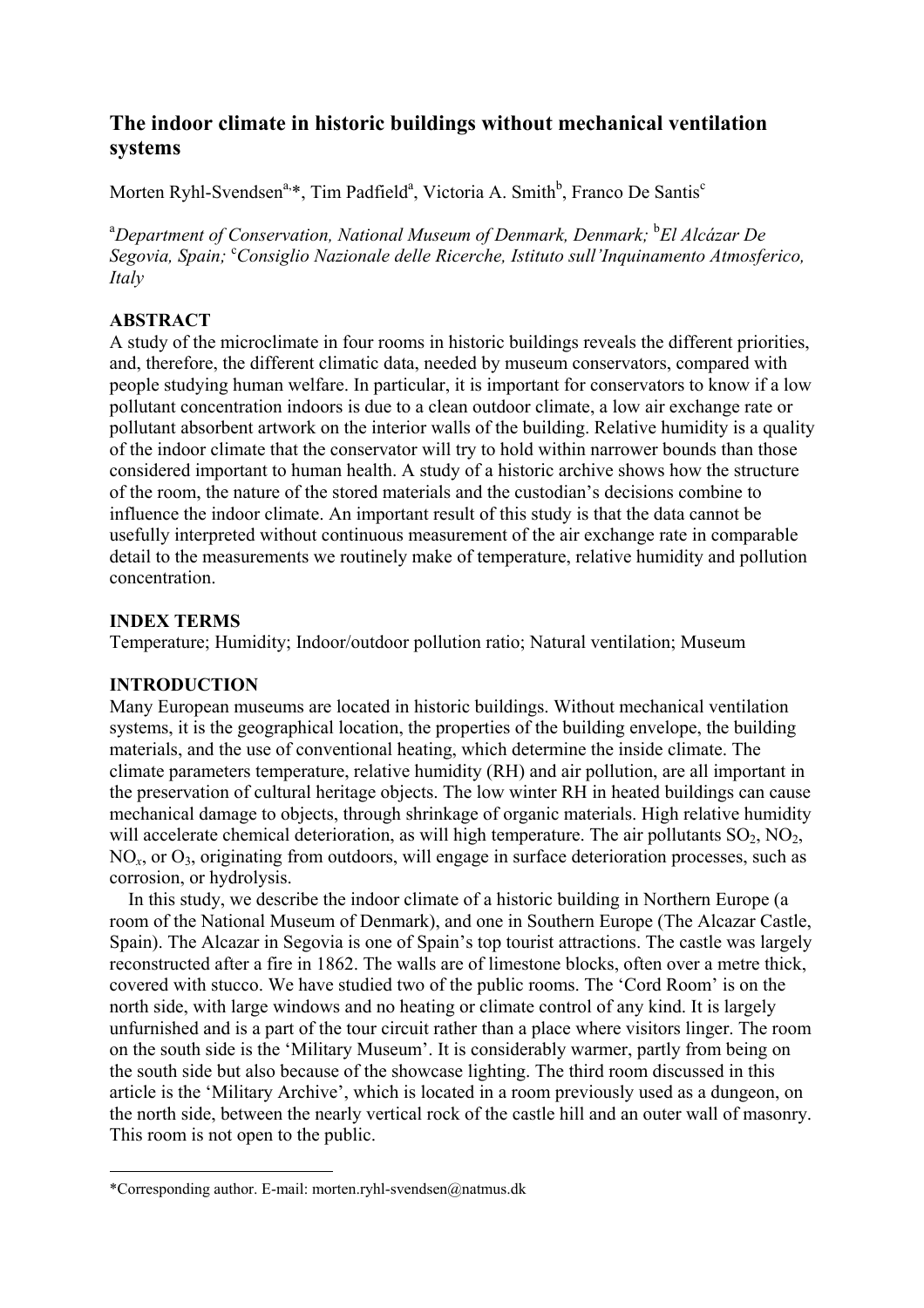# **The indoor climate in historic buildings without mechanical ventilation systems**

Morten Ryhl-Svendsen<sup>a,\*</sup>, Tim Padfield<sup>a</sup>, Victoria A. Smith<sup>b</sup>, Franco De Santis<sup>c</sup>

<sup>a</sup>Department of Conservation, National Museum of Denmark, Denmark; <sup>b</sup>El Alcázar De Segovia, Spain; <sup>c</sup>Consiglio Nazionale delle Ricerche, Istituto sull'Inquinamento Atmosferico, *Italy*

### **ABSTRACT**

A study of the microclimate in four rooms in historic buildings reveals the different priorities, and, therefore, the different climatic data, needed by museum conservators, compared with people studying human welfare. In particular, it is important for conservators to know if a low pollutant concentration indoors is due to a clean outdoor climate, a low air exchange rate or pollutant absorbent artwork on the interior walls of the building. Relative humidity is a quality of the indoor climate that the conservator will try to hold within narrower bounds than those considered important to human health. A study of a historic archive shows how the structure of the room, the nature of the stored materials and the custodian's decisions combine to influence the indoor climate. An important result of this study is that the data cannot be usefully interpreted without continuous measurement of the air exchange rate in comparable detail to the measurements we routinely make of temperature, relative humidity and pollution concentration.

### **INDEX TERMS**

Temperature; Humidity; Indoor/outdoor pollution ratio; Natural ventilation; Museum

#### **INTRODUCTION**

 $\overline{a}$ 

Many European museums are located in historic buildings. Without mechanical ventilation systems, it is the geographical location, the properties of the building envelope, the building materials, and the use of conventional heating, which determine the inside climate. The climate parameters temperature, relative humidity (RH) and air pollution, are all important in the preservation of cultural heritage objects. The low winter RH in heated buildings can cause mechanical damage to objects, through shrinkage of organic materials. High relative humidity will accelerate chemical deterioration, as will high temperature. The air pollutants  $SO_2$ ,  $NO_2$ , NO<sub>x</sub>, or O<sub>3</sub>, originating from outdoors, will engage in surface deterioration processes, such as corrosion, or hydrolysis.

In this study, we describe the indoor climate of a historic building in Northern Europe (a room of the National Museum of Denmark), and one in Southern Europe (The Alcazar Castle, Spain). The Alcazar in Segovia is one of Spain's top tourist attractions. The castle was largely reconstructed after a fire in 1862. The walls are of limestone blocks, often over a metre thick, covered with stucco. We have studied two of the public rooms. The 'Cord Room' is on the north side, with large windows and no heating or climate control of any kind. It is largely unfurnished and is a part of the tour circuit rather than a place where visitors linger. The room on the south side is the 'Military Museum'. It is considerably warmer, partly from being on the south side but also because of the showcase lighting. The third room discussed in this article is the 'Military Archive', which is located in a room previously used as a dungeon, on the north side, between the nearly vertical rock of the castle hill and an outer wall of masonry. This room is not open to the public.

<sup>\*</sup>Corresponding author. E-mail: morten.ryhl-svendsen@natmus.dk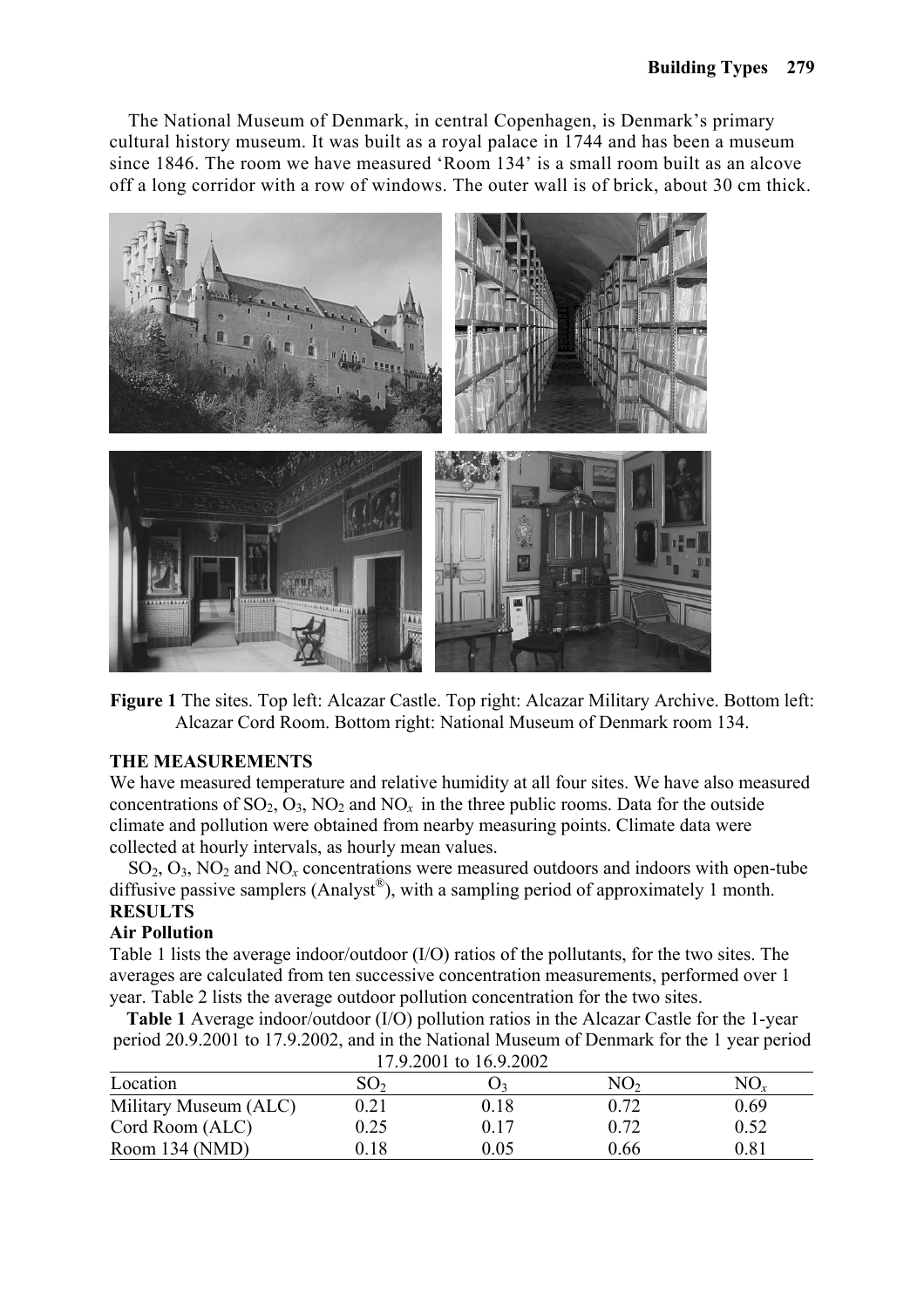The National Museum of Denmark, in central Copenhagen, is Denmark's primary cultural history museum. It was built as a royal palace in 1744 and has been a museum since 1846. The room we have measured 'Room 134' is a small room built as an alcove off a long corridor with a row of windows. The outer wall is of brick, about 30 cm thick.



**Figure 1** The sites. Top left: Alcazar Castle. Top right: Alcazar Military Archive. Bottom left: Alcazar Cord Room. Bottom right: National Museum of Denmark room 134.

### **THE MEASUREMENTS**

We have measured temperature and relative humidity at all four sites. We have also measured concentrations of  $SO_2$ ,  $O_3$ ,  $NO_2$  and  $NO_x$  in the three public rooms. Data for the outside climate and pollution were obtained from nearby measuring points. Climate data were collected at hourly intervals, as hourly mean values.

SO2, O3, NO2 and NO*x* concentrations were measured outdoors and indoors with open-tube diffusive passive samplers (Analyst<sup>®</sup>), with a sampling period of approximately 1 month. **RESULTS** 

### **Air Pollution**

Table 1 lists the average indoor/outdoor (I/O) ratios of the pollutants, for the two sites. The averages are calculated from ten successive concentration measurements, performed over 1 year. Table 2 lists the average outdoor pollution concentration for the two sites.

**Table 1** Average indoor/outdoor (I/O) pollution ratios in the Alcazar Castle for the 1-year period 20.9.2001 to 17.9.2002, and in the National Museum of Denmark for the 1 year period

| 17.9.2001 to 16.9.2002 |                 |      |      |            |  |  |  |  |
|------------------------|-----------------|------|------|------------|--|--|--|--|
| Location               | SO <sub>2</sub> |      | NO2  |            |  |  |  |  |
| Military Museum (ALC)  | 0.21            | 0.18 | 0.72 | 0.69       |  |  |  |  |
| Cord Room (ALC)        | 0.25            | 0.17 | 0.72 | 0.52       |  |  |  |  |
| Room 134 (NMD)         | 0.18            | 0.05 | 0.66 | $\rm 0.81$ |  |  |  |  |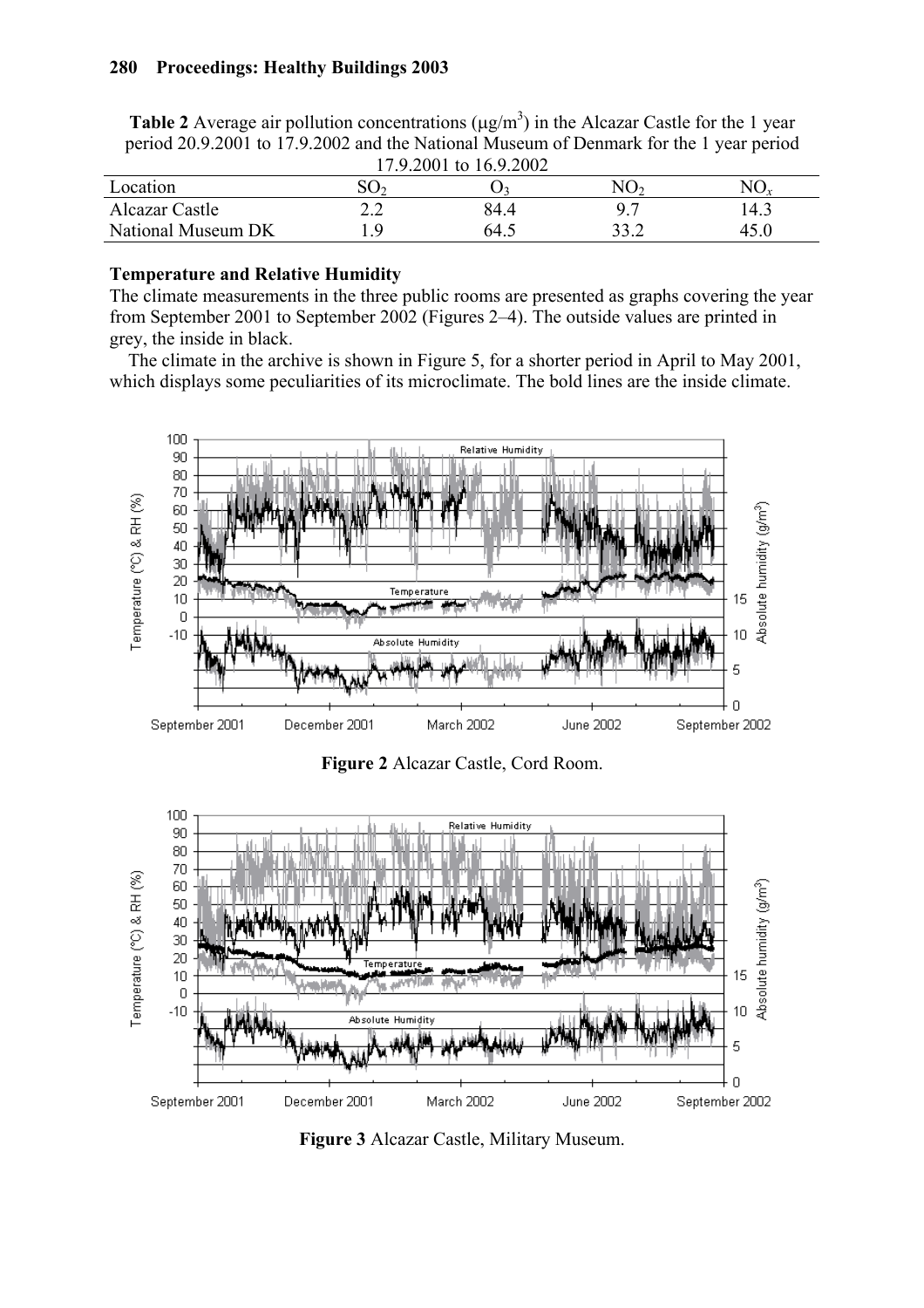#### **280 Proceedings: Healthy Buildings 2003**

| <b>Table 2</b> Average air pollution concentrations ( $\mu$ g/m <sup>3</sup> ) in the Alcazar Castle for the 1 year<br>period 20.9.2001 to 17.9.2002 and the National Museum of Denmark for the 1 year period |                 |                |                 |          |  |  |  |
|---------------------------------------------------------------------------------------------------------------------------------------------------------------------------------------------------------------|-----------------|----------------|-----------------|----------|--|--|--|
| 17.9.2001 to 16.9.2002                                                                                                                                                                                        |                 |                |                 |          |  |  |  |
| Location                                                                                                                                                                                                      | SO <sub>2</sub> | $\mathbf{O}_3$ | NO <sub>2</sub> | $NO_{r}$ |  |  |  |

| $11.7.2001$ to $10.7.2002$ |     |      |  |      |  |  |  |  |
|----------------------------|-----|------|--|------|--|--|--|--|
| Location                   | ⊃∪^ |      |  |      |  |  |  |  |
| Alcazar Castle             | 2.Z | 84.4 |  | 14.3 |  |  |  |  |
| National Museum DK         | -0  | 64.5 |  | 45.0 |  |  |  |  |

### **Temperature and Relative Humidity**

The climate measurements in the three public rooms are presented as graphs covering the year from September 2001 to September 2002 (Figures 2–4). The outside values are printed in grey, the inside in black.

The climate in the archive is shown in Figure 5, for a shorter period in April to May 2001, which displays some peculiarities of its microclimate. The bold lines are the inside climate.



**Figure 2** Alcazar Castle, Cord Room.



**Figure 3** Alcazar Castle, Military Museum.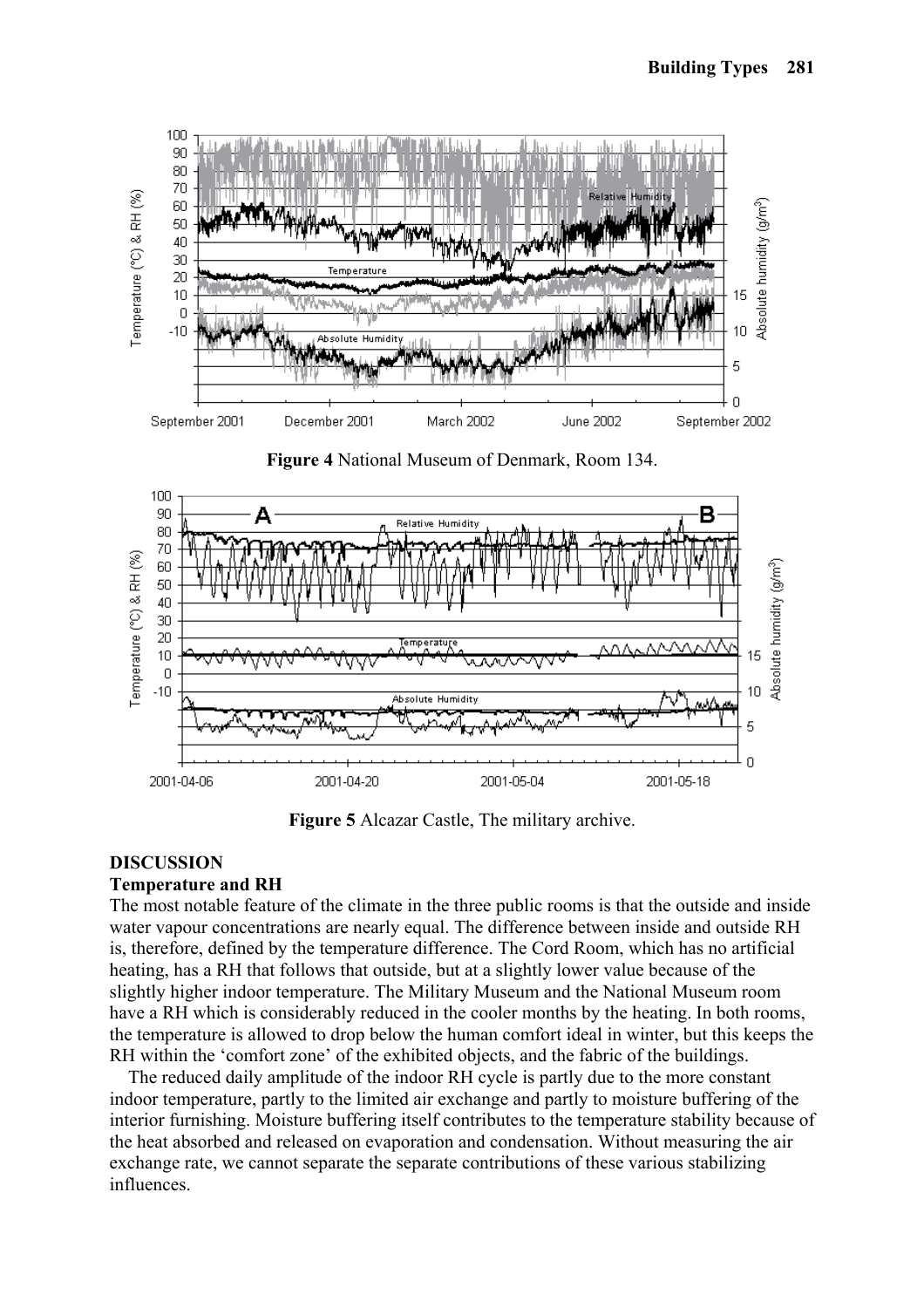

**Figure 4** National Museum of Denmark, Room 134.



**Figure 5** Alcazar Castle, The military archive.

### **DISCUSSION**

#### **Temperature and RH**

The most notable feature of the climate in the three public rooms is that the outside and inside water vapour concentrations are nearly equal. The difference between inside and outside RH is, therefore, defined by the temperature difference. The Cord Room, which has no artificial heating, has a RH that follows that outside, but at a slightly lower value because of the slightly higher indoor temperature. The Military Museum and the National Museum room have a RH which is considerably reduced in the cooler months by the heating. In both rooms, the temperature is allowed to drop below the human comfort ideal in winter, but this keeps the RH within the 'comfort zone' of the exhibited objects, and the fabric of the buildings.

The reduced daily amplitude of the indoor RH cycle is partly due to the more constant indoor temperature, partly to the limited air exchange and partly to moisture buffering of the interior furnishing. Moisture buffering itself contributes to the temperature stability because of the heat absorbed and released on evaporation and condensation. Without measuring the air exchange rate, we cannot separate the separate contributions of these various stabilizing influences.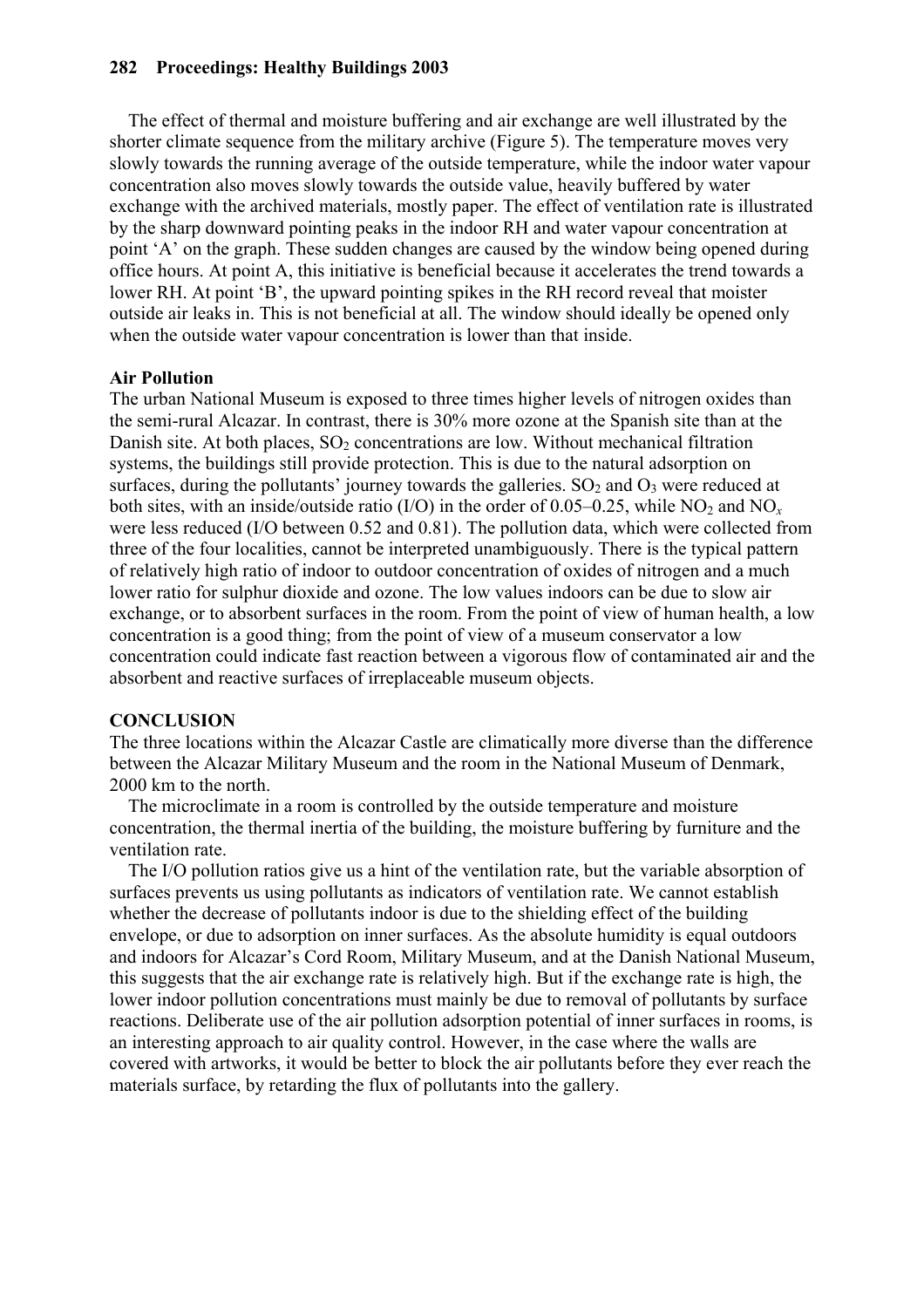#### **282 Proceedings: Healthy Buildings 2003**

The effect of thermal and moisture buffering and air exchange are well illustrated by the shorter climate sequence from the military archive (Figure 5). The temperature moves very slowly towards the running average of the outside temperature, while the indoor water vapour concentration also moves slowly towards the outside value, heavily buffered by water exchange with the archived materials, mostly paper. The effect of ventilation rate is illustrated by the sharp downward pointing peaks in the indoor RH and water vapour concentration at point 'A' on the graph. These sudden changes are caused by the window being opened during office hours. At point A, this initiative is beneficial because it accelerates the trend towards a lower RH. At point 'B', the upward pointing spikes in the RH record reveal that moister outside air leaks in. This is not beneficial at all. The window should ideally be opened only when the outside water vapour concentration is lower than that inside.

### **Air Pollution**

The urban National Museum is exposed to three times higher levels of nitrogen oxides than the semi-rural Alcazar. In contrast, there is 30% more ozone at the Spanish site than at the Danish site. At both places,  $SO<sub>2</sub>$  concentrations are low. Without mechanical filtration systems, the buildings still provide protection. This is due to the natural adsorption on surfaces, during the pollutants' journey towards the galleries.  $SO_2$  and  $O_3$  were reduced at both sites, with an inside/outside ratio  $(I/O)$  in the order of 0.05–0.25, while NO<sub>2</sub> and NO<sub>x</sub> were less reduced (I/O between 0.52 and 0.81). The pollution data, which were collected from three of the four localities, cannot be interpreted unambiguously. There is the typical pattern of relatively high ratio of indoor to outdoor concentration of oxides of nitrogen and a much lower ratio for sulphur dioxide and ozone. The low values indoors can be due to slow air exchange, or to absorbent surfaces in the room. From the point of view of human health, a low concentration is a good thing; from the point of view of a museum conservator a low concentration could indicate fast reaction between a vigorous flow of contaminated air and the absorbent and reactive surfaces of irreplaceable museum objects.

### **CONCLUSION**

The three locations within the Alcazar Castle are climatically more diverse than the difference between the Alcazar Military Museum and the room in the National Museum of Denmark, 2000 km to the north.

The microclimate in a room is controlled by the outside temperature and moisture concentration, the thermal inertia of the building, the moisture buffering by furniture and the ventilation rate.

The I/O pollution ratios give us a hint of the ventilation rate, but the variable absorption of surfaces prevents us using pollutants as indicators of ventilation rate. We cannot establish whether the decrease of pollutants indoor is due to the shielding effect of the building envelope, or due to adsorption on inner surfaces. As the absolute humidity is equal outdoors and indoors for Alcazar's Cord Room, Military Museum, and at the Danish National Museum, this suggests that the air exchange rate is relatively high. But if the exchange rate is high, the lower indoor pollution concentrations must mainly be due to removal of pollutants by surface reactions. Deliberate use of the air pollution adsorption potential of inner surfaces in rooms, is an interesting approach to air quality control. However, in the case where the walls are covered with artworks, it would be better to block the air pollutants before they ever reach the materials surface, by retarding the flux of pollutants into the gallery.